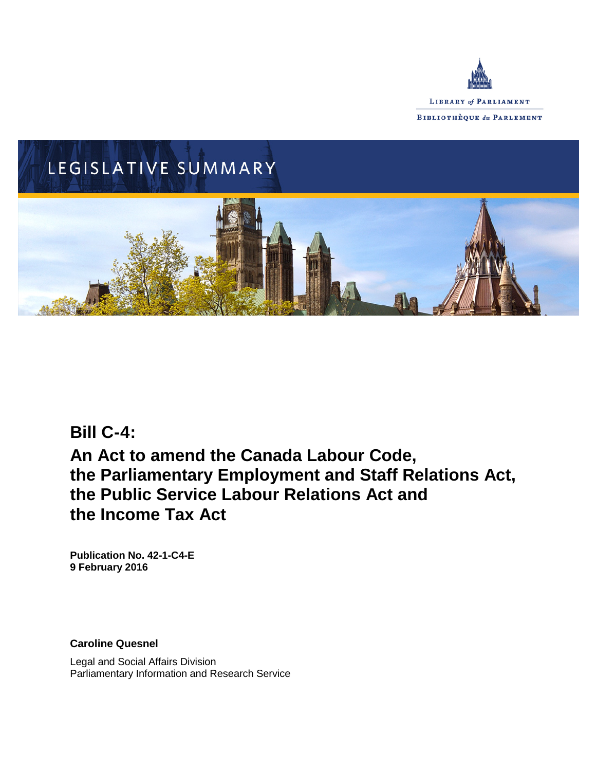



# **Bill C-4:**

# **An Act to amend the Canada Labour Code, the Parliamentary Employment and Staff Relations Act, the Public Service Labour Relations Act and the Income Tax Act**

**Publication No. 42-1-C4-E 9 February 2016**

**Caroline Quesnel**

Legal and Social Affairs Division Parliamentary Information and Research Service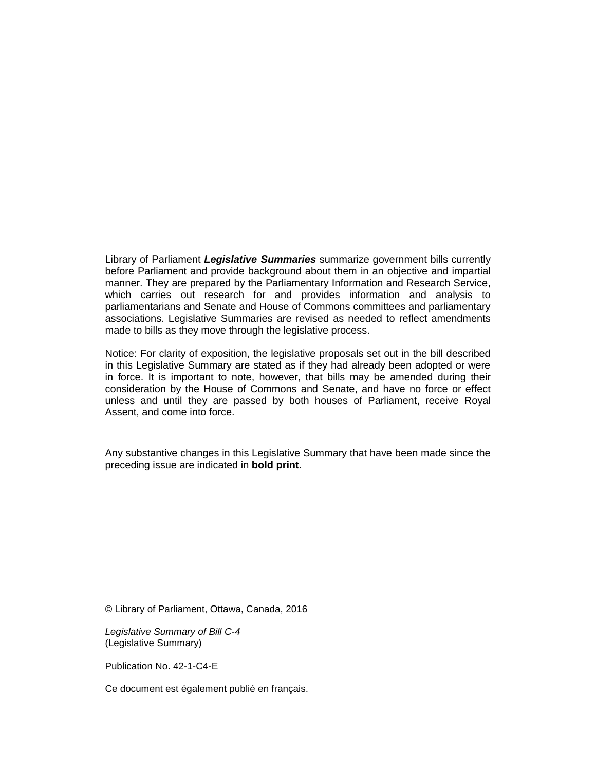Library of Parliament *Legislative Summaries* summarize government bills currently before Parliament and provide background about them in an objective and impartial manner. They are prepared by the Parliamentary Information and Research Service, which carries out research for and provides information and analysis to parliamentarians and Senate and House of Commons committees and parliamentary associations. Legislative Summaries are revised as needed to reflect amendments made to bills as they move through the legislative process.

Notice: For clarity of exposition, the legislative proposals set out in the bill described in this Legislative Summary are stated as if they had already been adopted or were in force. It is important to note, however, that bills may be amended during their consideration by the House of Commons and Senate, and have no force or effect unless and until they are passed by both houses of Parliament, receive Royal Assent, and come into force.

Any substantive changes in this Legislative Summary that have been made since the preceding issue are indicated in **bold print**.

© Library of Parliament, Ottawa, Canada, 2016

*Legislative Summary of Bill C-4* (Legislative Summary)

Publication No. 42-1-C4-E

Ce document est également publié en français.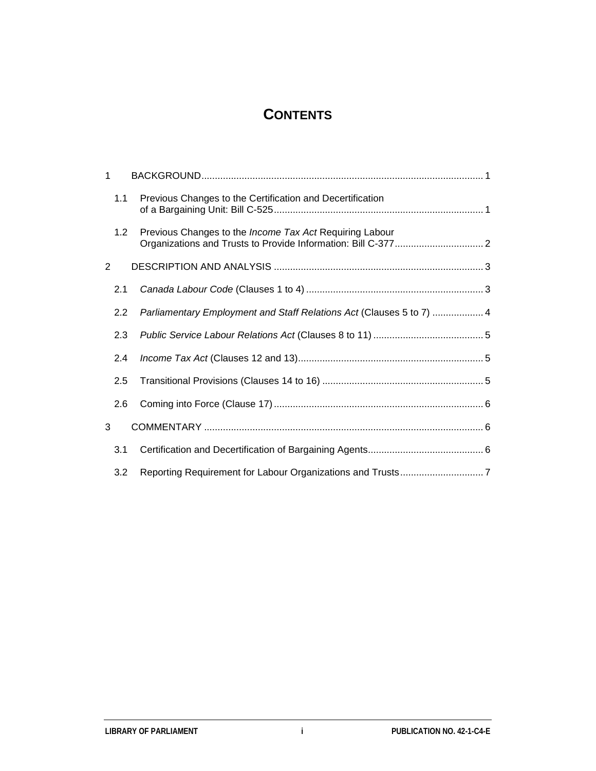# **CONTENTS**

| 1 |     |                                                                      |  |
|---|-----|----------------------------------------------------------------------|--|
|   | 1.1 | Previous Changes to the Certification and Decertification            |  |
|   | 1.2 | Previous Changes to the <i>Income Tax Act</i> Requiring Labour       |  |
| 2 |     |                                                                      |  |
|   | 2.1 |                                                                      |  |
|   | 2.2 | Parliamentary Employment and Staff Relations Act (Clauses 5 to 7)  4 |  |
|   | 2.3 |                                                                      |  |
|   | 2.4 |                                                                      |  |
|   | 2.5 |                                                                      |  |
|   | 2.6 |                                                                      |  |
| 3 |     |                                                                      |  |
|   | 3.1 |                                                                      |  |
|   | 3.2 |                                                                      |  |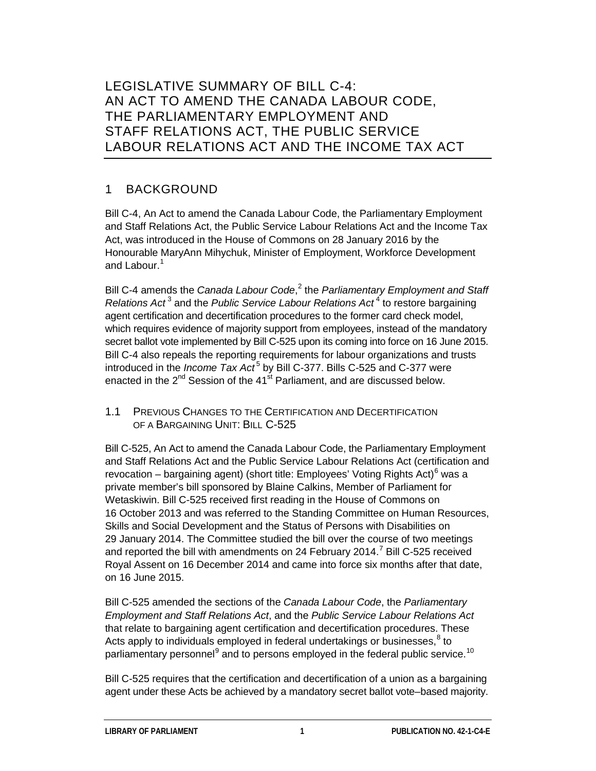# LEGISLATIVE SUMMARY OF BILL C-4: AN ACT TO AMEND THE CANADA LABOUR CODE, THE PARLIAMENTARY EMPLOYMENT AND STAFF RELATIONS ACT, THE PUBLIC SERVICE LABOUR RELATIONS ACT AND THE INCOME TAX ACT

# 1 BACKGROUND

Bill C-4, An Act to amend the Canada Labour Code, the Parliamentary Employment and Staff Relations Act, the Public Service Labour Relations Act and the Income Tax Act, was introduced in the House of Commons on 28 January 2016 by the Honourable MaryAnn Mihychuk, Minister of Employment, Workforce Development and Labour<sup>[1](#page-11-0)</sup>

Bill C-4 amends the *Canada Labour Code*, [2](#page-11-1) the *Parliamentary Employment and Staff Relations Act* [3](#page-11-2) and the *Public Service Labour Relations Act* [4](#page-11-3) to restore bargaining agent certification and decertification procedures to the former card check model, which requires evidence of majority support from employees, instead of the mandatory secret ballot vote implemented by Bill C-525 upon its coming into force on 16 June 2015. Bill C-4 also repeals the reporting requirements for labour organizations and trusts introduced in the *Income Tax Act*<sup>[5](#page-11-4)</sup> by Bill C-377. Bills C-525 and C-377 were enacted in the  $2^{nd}$  Session of the 41 $st$  Parliament, and are discussed below.

1.1 PREVIOUS CHANGES TO THE CERTIFICATION AND DECERTIFICATION OF A BARGAINING UNIT: BILL C-525

Bill C-525, An Act to amend the Canada Labour Code, the Parliamentary Employment and Staff Relations Act and the Public Service Labour Relations Act (certification and revocation – bargaining agent) (short title: Employees' Voting Rights Act)<sup>[6](#page-11-5)</sup> was a private member's bill sponsored by Blaine Calkins, Member of Parliament for Wetaskiwin. Bill C-525 received first reading in the House of Commons on 16 October 2013 and was referred to the Standing Committee on Human Resources, Skills and Social Development and the Status of Persons with Disabilities on 29 January 2014. The Committee studied the bill over the course of two meetings and reported the bill with amendments on 24 February 2014.<sup>[7](#page-11-6)</sup> Bill C-525 received Royal Assent on 16 December 2014 and came into force six months after that date, on 16 June 2015.

Bill C-525 amended the sections of the *Canada Labour Code*, the *Parliamentary Employment and Staff Relations Act*, and the *Public Service Labour Relations Act*  that relate to bargaining agent certification and decertification procedures. These Acts apply to individuals employed in federal undertakings or businesses, $8$  to parliamentary personnel<sup>[9](#page-11-8)</sup> and to persons employed in the federal public service.<sup>[10](#page-11-9)</sup>

Bill C-525 requires that the certification and decertification of a union as a bargaining agent under these Acts be achieved by a mandatory secret ballot vote–based majority.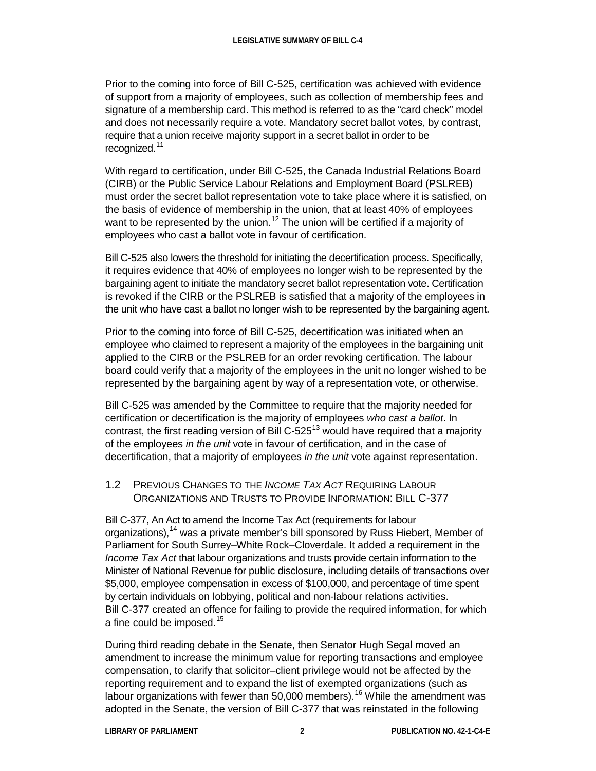Prior to the coming into force of Bill C-525, certification was achieved with evidence of support from a majority of employees, such as collection of membership fees and signature of a membership card. This method is referred to as the "card check" model and does not necessarily require a vote. Mandatory secret ballot votes, by contrast, require that a union receive majority support in a secret ballot in order to be recognized.<sup>[11](#page-12-0)</sup>

With regard to certification, under Bill C-525, the Canada Industrial Relations Board (CIRB) or the Public Service Labour Relations and Employment Board (PSLREB) must order the secret ballot representation vote to take place where it is satisfied, on the basis of evidence of membership in the union, that at least 40% of employees want to be represented by the union.<sup>[12](#page-12-1)</sup> The union will be certified if a majority of employees who cast a ballot vote in favour of certification.

Bill C-525 also lowers the threshold for initiating the decertification process. Specifically, it requires evidence that 40% of employees no longer wish to be represented by the bargaining agent to initiate the mandatory secret ballot representation vote. Certification is revoked if the CIRB or the PSLREB is satisfied that a majority of the employees in the unit who have cast a ballot no longer wish to be represented by the bargaining agent.

Prior to the coming into force of Bill C-525, decertification was initiated when an employee who claimed to represent a majority of the employees in the bargaining unit applied to the CIRB or the PSLREB for an order revoking certification. The labour board could verify that a majority of the employees in the unit no longer wished to be represented by the bargaining agent by way of a representation vote, or otherwise.

Bill C-525 was amended by the Committee to require that the majority needed for certification or decertification is the majority of employees *who cast a ballot*. In contrast, the first reading version of Bill C-525<sup>[13](#page-12-2)</sup> would have required that a majority of the employees *in the unit* vote in favour of certification, and in the case of decertification, that a majority of employees *in the unit* vote against representation.

### 1.2 PREVIOUS CHANGES TO THE *INCOME TAX ACT* REQUIRING LABOUR ORGANIZATIONS AND TRUSTS TO PROVIDE INFORMATION: BILL C-377

Bill C-377, An Act to amend the Income Tax Act (requirements for labour organizations),<sup>[14](#page-12-3)</sup> was a private member's bill sponsored by Russ Hiebert, Member of Parliament for South Surrey–White Rock–Cloverdale. It added a requirement in the *Income Tax Act* that labour organizations and trusts provide certain information to the Minister of National Revenue for public disclosure, including details of transactions over \$5,000, employee compensation in excess of \$100,000, and percentage of time spent by certain individuals on lobbying, political and non-labour relations activities. Bill C-377 created an offence for failing to provide the required information, for which a fine could be imposed.<sup>[15](#page-12-4)</sup>

During third reading debate in the Senate, then Senator Hugh Segal moved an amendment to increase the minimum value for reporting transactions and employee compensation, to clarify that solicitor–client privilege would not be affected by the reporting requirement and to expand the list of exempted organizations (such as labour organizations with fewer than 50,000 members).<sup>[16](#page-12-5)</sup> While the amendment was adopted in the Senate, the version of Bill C-377 that was reinstated in the following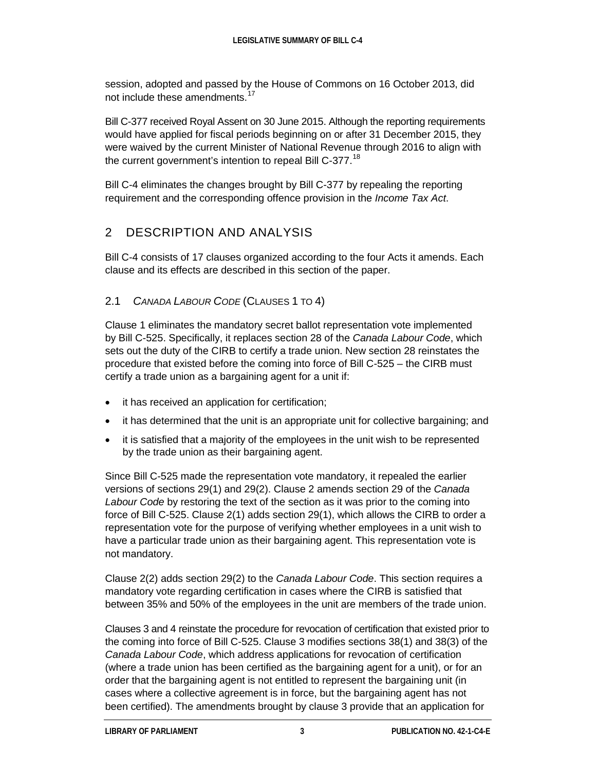session, adopted and passed by the House of Commons on 16 October 2013, did not include these amendments.<sup>[17](#page-13-0)</sup>

Bill C-377 received Royal Assent on 30 June 2015. Although the reporting requirements would have applied for fiscal periods beginning on or after 31 December 2015, they were waived by the current Minister of National Revenue through 2016 to align with the current government's intention to repeal Bill C-377.<sup>[18](#page-13-1)</sup>

Bill C-4 eliminates the changes brought by Bill C-377 by repealing the reporting requirement and the corresponding offence provision in the *Income Tax Act*.

# 2 DESCRIPTION AND ANALYSIS

Bill C-4 consists of 17 clauses organized according to the four Acts it amends. Each clause and its effects are described in this section of the paper.

## 2.1 *CANADA LABOUR CODE* (CLAUSES 1 TO 4)

Clause 1 eliminates the mandatory secret ballot representation vote implemented by Bill C-525. Specifically, it replaces section 28 of the *Canada Labour Code*, which sets out the duty of the CIRB to certify a trade union. New section 28 reinstates the procedure that existed before the coming into force of Bill C-525 – the CIRB must certify a trade union as a bargaining agent for a unit if:

- it has received an application for certification;
- it has determined that the unit is an appropriate unit for collective bargaining; and
- it is satisfied that a majority of the employees in the unit wish to be represented by the trade union as their bargaining agent.

Since Bill C-525 made the representation vote mandatory, it repealed the earlier versions of sections 29(1) and 29(2). Clause 2 amends section 29 of the *Canada Labour Code* by restoring the text of the section as it was prior to the coming into force of Bill C-525. Clause 2(1) adds section 29(1), which allows the CIRB to order a representation vote for the purpose of verifying whether employees in a unit wish to have a particular trade union as their bargaining agent. This representation vote is not mandatory.

Clause 2(2) adds section 29(2) to the *Canada Labour Code*. This section requires a mandatory vote regarding certification in cases where the CIRB is satisfied that between 35% and 50% of the employees in the unit are members of the trade union.

Clauses 3 and 4 reinstate the procedure for revocation of certification that existed prior to the coming into force of Bill C-525. Clause 3 modifies sections 38(1) and 38(3) of the *Canada Labour Code*, which address applications for revocation of certification (where a trade union has been certified as the bargaining agent for a unit), or for an order that the bargaining agent is not entitled to represent the bargaining unit (in cases where a collective agreement is in force, but the bargaining agent has not been certified). The amendments brought by clause 3 provide that an application for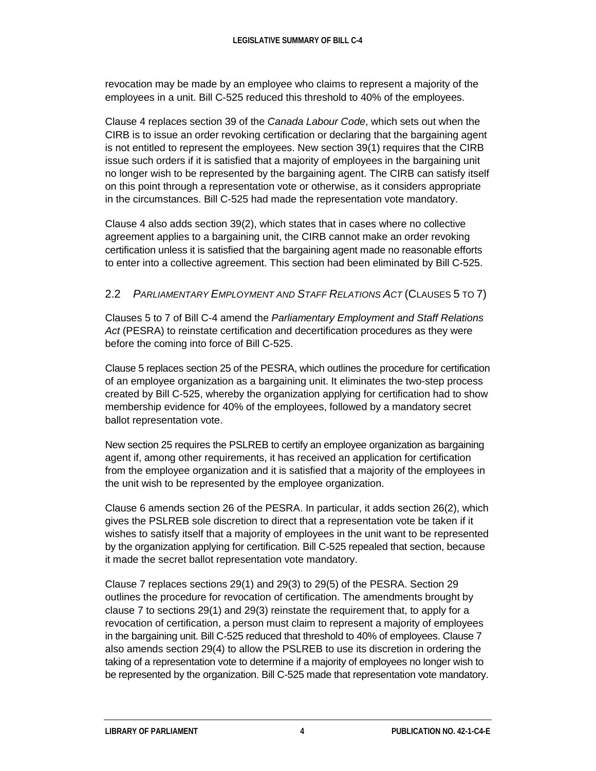revocation may be made by an employee who claims to represent a majority of the employees in a unit. Bill C-525 reduced this threshold to 40% of the employees.

Clause 4 replaces section 39 of the *Canada Labour Code*, which sets out when the CIRB is to issue an order revoking certification or declaring that the bargaining agent is not entitled to represent the employees. New section 39(1) requires that the CIRB issue such orders if it is satisfied that a majority of employees in the bargaining unit no longer wish to be represented by the bargaining agent. The CIRB can satisfy itself on this point through a representation vote or otherwise, as it considers appropriate in the circumstances. Bill C-525 had made the representation vote mandatory.

Clause 4 also adds section 39(2), which states that in cases where no collective agreement applies to a bargaining unit, the CIRB cannot make an order revoking certification unless it is satisfied that the bargaining agent made no reasonable efforts to enter into a collective agreement. This section had been eliminated by Bill C-525.

### 2.2 *PARLIAMENTARY EMPLOYMENT AND STAFF RELATIONS ACT* (CLAUSES 5 TO 7)

Clauses 5 to 7 of Bill C-4 amend the *Parliamentary Employment and Staff Relations Act* (PESRA) to reinstate certification and decertification procedures as they were before the coming into force of Bill C-525.

Clause 5 replaces section 25 of the PESRA, which outlines the procedure for certification of an employee organization as a bargaining unit. It eliminates the two-step process created by Bill C-525, whereby the organization applying for certification had to show membership evidence for 40% of the employees, followed by a mandatory secret ballot representation vote.

New section 25 requires the PSLREB to certify an employee organization as bargaining agent if, among other requirements, it has received an application for certification from the employee organization and it is satisfied that a majority of the employees in the unit wish to be represented by the employee organization.

Clause 6 amends section 26 of the PESRA. In particular, it adds section 26(2), which gives the PSLREB sole discretion to direct that a representation vote be taken if it wishes to satisfy itself that a majority of employees in the unit want to be represented by the organization applying for certification. Bill C-525 repealed that section, because it made the secret ballot representation vote mandatory.

Clause 7 replaces sections 29(1) and 29(3) to 29(5) of the PESRA. Section 29 outlines the procedure for revocation of certification. The amendments brought by clause 7 to sections 29(1) and 29(3) reinstate the requirement that, to apply for a revocation of certification, a person must claim to represent a majority of employees in the bargaining unit. Bill C-525 reduced that threshold to 40% of employees. Clause 7 also amends section 29(4) to allow the PSLREB to use its discretion in ordering the taking of a representation vote to determine if a majority of employees no longer wish to be represented by the organization. Bill C-525 made that representation vote mandatory.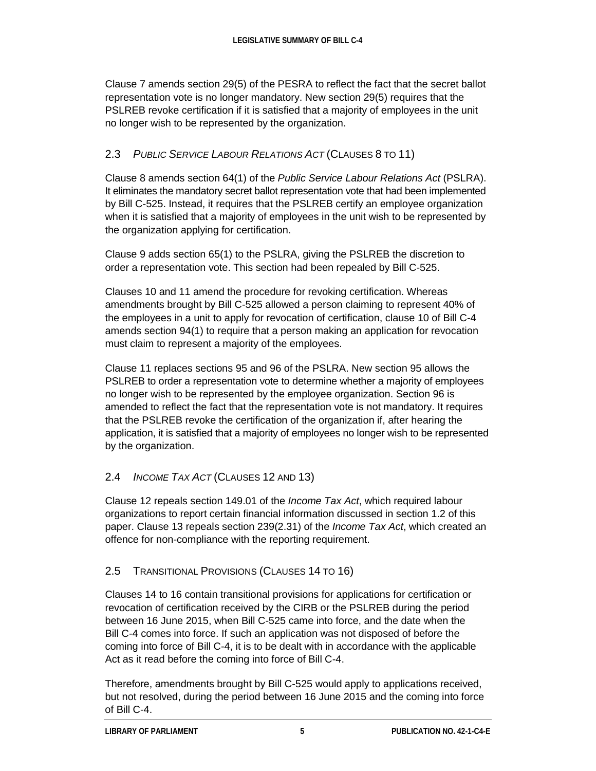Clause 7 amends section 29(5) of the PESRA to reflect the fact that the secret ballot representation vote is no longer mandatory. New section 29(5) requires that the PSLREB revoke certification if it is satisfied that a majority of employees in the unit no longer wish to be represented by the organization.

## 2.3 *PUBLIC SERVICE LABOUR RELATIONS ACT* (CLAUSES 8 TO 11)

Clause 8 amends section 64(1) of the *Public Service Labour Relations Act* (PSLRA). It eliminates the mandatory secret ballot representation vote that had been implemented by Bill C-525. Instead, it requires that the PSLREB certify an employee organization when it is satisfied that a majority of employees in the unit wish to be represented by the organization applying for certification.

Clause 9 adds section 65(1) to the PSLRA, giving the PSLREB the discretion to order a representation vote. This section had been repealed by Bill C-525.

Clauses 10 and 11 amend the procedure for revoking certification. Whereas amendments brought by Bill C-525 allowed a person claiming to represent 40% of the employees in a unit to apply for revocation of certification, clause 10 of Bill C-4 amends section 94(1) to require that a person making an application for revocation must claim to represent a majority of the employees.

Clause 11 replaces sections 95 and 96 of the PSLRA. New section 95 allows the PSLREB to order a representation vote to determine whether a majority of employees no longer wish to be represented by the employee organization. Section 96 is amended to reflect the fact that the representation vote is not mandatory. It requires that the PSLREB revoke the certification of the organization if, after hearing the application, it is satisfied that a majority of employees no longer wish to be represented by the organization.

## 2.4 *INCOME TAX ACT* (CLAUSES 12 AND 13)

Clause 12 repeals section 149.01 of the *Income Tax Act*, which required labour organizations to report certain financial information discussed in section 1.2 of this paper. Clause 13 repeals section 239(2.31) of the *Income Tax Act*, which created an offence for non-compliance with the reporting requirement.

## 2.5 TRANSITIONAL PROVISIONS (CLAUSES 14 TO 16)

Clauses 14 to 16 contain transitional provisions for applications for certification or revocation of certification received by the CIRB or the PSLREB during the period between 16 June 2015, when Bill C-525 came into force, and the date when the Bill C-4 comes into force. If such an application was not disposed of before the coming into force of Bill C-4, it is to be dealt with in accordance with the applicable Act as it read before the coming into force of Bill C-4.

Therefore, amendments brought by Bill C-525 would apply to applications received, but not resolved, during the period between 16 June 2015 and the coming into force of Bill C-4.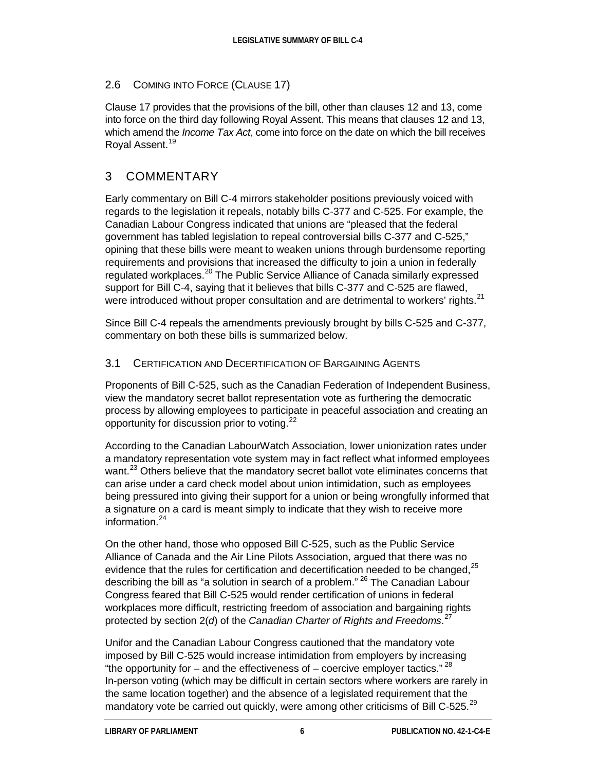#### 2.6 COMING INTO FORCE (CLAUSE 17)

Clause 17 provides that the provisions of the bill, other than clauses 12 and 13, come into force on the third day following Royal Assent. This means that clauses 12 and 13, which amend the *Income Tax Act*, come into force on the date on which the bill receives Royal Assent.<sup>[19](#page-13-2)</sup>

## 3 COMMENTARY

Early commentary on Bill C-4 mirrors stakeholder positions previously voiced with regards to the legislation it repeals, notably bills C-377 and C-525. For example, the Canadian Labour Congress indicated that unions are "pleased that the federal government has tabled legislation to repeal controversial bills C-377 and C-525," opining that these bills were meant to weaken unions through burdensome reporting requirements and provisions that increased the difficulty to join a union in federally regulated workplaces.<sup>[20](#page-13-3)</sup> The Public Service Alliance of Canada similarly expressed support for Bill C-4, saying that it believes that bills C-377 and C-525 are flawed, were introduced without proper consultation and are detrimental to workers' rights.<sup>[21](#page-13-4)</sup>

Since Bill C-4 repeals the amendments previously brought by bills C-525 and C-377, commentary on both these bills is summarized below.

#### 3.1 CERTIFICATION AND DECERTIFICATION OF BARGAINING AGENTS

Proponents of Bill C-525, such as the Canadian Federation of Independent Business, view the mandatory secret ballot representation vote as furthering the democratic process by allowing employees to participate in peaceful association and creating an opportunity for discussion prior to voting.<sup>[22](#page-13-5)</sup>

According to the Canadian LabourWatch Association, lower unionization rates under a mandatory representation vote system may in fact reflect what informed employees want.<sup>[23](#page-13-6)</sup> Others believe that the mandatory secret ballot vote eliminates concerns that can arise under a card check model about union intimidation, such as employees being pressured into giving their support for a union or being wrongfully informed that a signature on a card is meant simply to indicate that they wish to receive more information. $24$ 

On the other hand, those who opposed Bill C-525, such as the Public Service Alliance of Canada and the Air Line Pilots Association, argued that there was no evidence that the rules for certification and decertification needed to be changed, <sup>[25](#page-13-8)</sup> describing the bill as "a solution in search of a problem." <sup>[26](#page-13-9)</sup> The Canadian Labour Congress feared that Bill C-525 would render certification of unions in federal workplaces more difficult, restricting freedom of association and bargaining rights protected by section 2(*d*) of the *Canadian Charter of Rights and Freedoms*. [27](#page-13-10)

Unifor and the Canadian Labour Congress cautioned that the mandatory vote imposed by Bill C-525 would increase intimidation from employers by increasing "the opportunity for – and the effectiveness of – coercive employer tactics."  $^{28}$  $^{28}$  $^{28}$ In-person voting (which may be difficult in certain sectors where workers are rarely in the same location together) and the absence of a legislated requirement that the mandatory vote be carried out quickly, were among other criticisms of Bill C-525.<sup>[29](#page-13-12)</sup>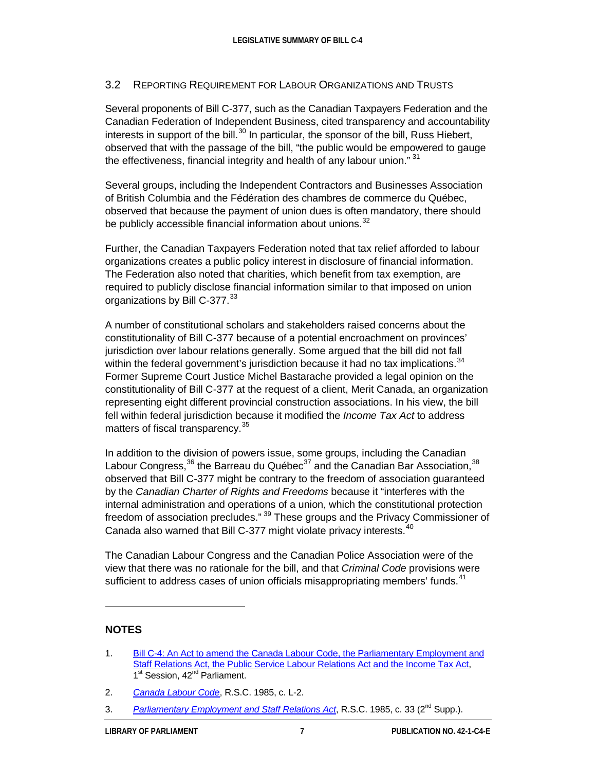#### 3.2 REPORTING REQUIREMENT FOR LABOUR ORGANIZATIONS AND TRUSTS

Several proponents of Bill C-377, such as the Canadian Taxpayers Federation and the Canadian Federation of Independent Business, cited transparency and accountability interests in support of the bill.<sup>[30](#page-13-13)</sup> In particular, the sponsor of the bill, Russ Hiebert, observed that with the passage of the bill, "the public would be empowered to gauge the effectiveness, financial integrity and health of any labour union."<sup>[31](#page-13-14)</sup>

Several groups, including the Independent Contractors and Businesses Association of British Columbia and the Fédération des chambres de commerce du Québec, observed that because the payment of union dues is often mandatory, there should be publicly accessible financial information about unions.<sup>[32](#page-13-15)</sup>

Further, the Canadian Taxpayers Federation noted that tax relief afforded to labour organizations creates a public policy interest in disclosure of financial information. The Federation also noted that charities, which benefit from tax exemption, are required to publicly disclose financial information similar to that imposed on union organizations by Bill C-377.<sup>[33](#page-13-16)</sup>

A number of constitutional scholars and stakeholders raised concerns about the constitutionality of Bill C-377 because of a potential encroachment on provinces' jurisdiction over labour relations generally. Some argued that the bill did not fall within the federal government's jurisdiction because it had no tax implications.<sup>[34](#page-13-17)</sup> Former Supreme Court Justice Michel Bastarache provided a legal opinion on the constitutionality of Bill C-377 at the request of a client, Merit Canada, an organization representing eight different provincial construction associations. In his view, the bill fell within federal jurisdiction because it modified the *Income Tax Act* to address matters of fiscal transparency.<sup>[35](#page-13-18)</sup>

In addition to the division of powers issue, some groups, including the Canadian Labour Congress,  $36$  the Barreau du Québec $37$  and the Canadian Bar Association,  $38$ observed that Bill C-377 might be contrary to the freedom of association guaranteed by the *Canadian Charter of Rights and Freedoms* because it "interferes with the internal administration and operations of a union, which the constitutional protection freedom of association precludes." <sup>[39](#page-13-6)</sup> These groups and the Privacy Commissioner of Canada also warned that Bill C-377 might violate privacy interests.<sup>[40](#page-13-7)</sup>

The Canadian Labour Congress and the Canadian Police Association were of the view that there was no rationale for the bill, and that *Criminal Code* provisions were sufficient to address cases of union officials misappropriating members' funds.<sup>[41](#page-13-22)</sup>

#### **NOTES**

 $\ddot{ }$ 

<sup>1.</sup> Bill [C-4: An Act to amend the Canada Labour Code, the Parliamentary Employment and](http://www.parl.gc.ca/HousePublications/Publication.aspx?Language=E&Mode=1&DocId=8075510)  [Staff Relations Act, the Public Service Labour Relations Act and the Income Tax Act,](http://www.parl.gc.ca/HousePublications/Publication.aspx?Language=E&Mode=1&DocId=8075510) 1<sup>st</sup> Session, 42<sup>nd</sup> Parliament.

<sup>2.</sup> *[Canada Labour Code](http://laws-lois.justice.gc.ca/eng/acts/L-2/FullText.html)*, R.S.C. 1985, c. L-2.

<sup>3.</sup> *[Parliamentary Employment and Staff Relations Act](http://laws-lois.justice.gc.ca/eng/acts/P-1.3/FullText.html)*, R.S.C. 1985, c. 33 (2nd Supp.).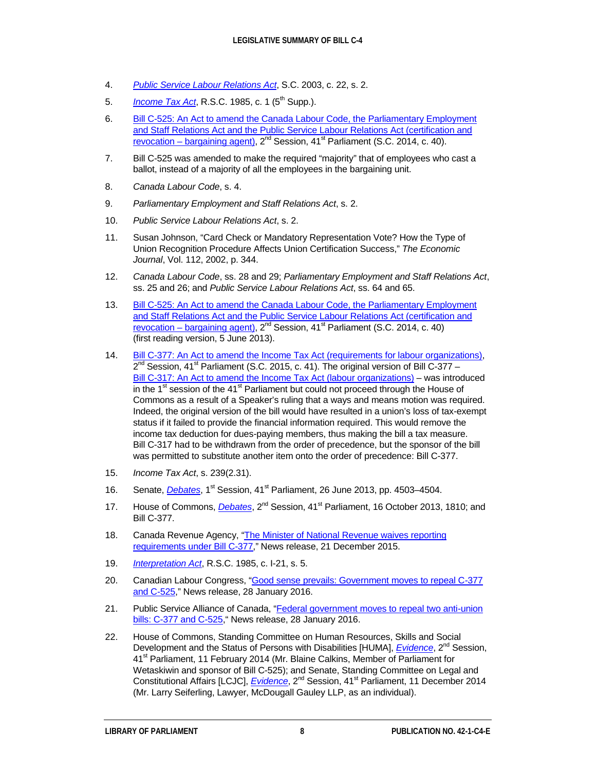- <span id="page-11-3"></span>4. *[Public Service Labour Relations](http://laws-lois.justice.gc.ca/eng/acts/P-33.3/) Act*, S.C. 2003, c. 22, s. 2.
- <span id="page-11-4"></span>5. *[Income Tax Act](http://laws-lois.justice.gc.ca/eng/acts/I-3.3/)*, R.S.C. 1985, c. 1 (5<sup>th</sup> Supp.).
- <span id="page-11-5"></span>6. Bill [C-525: An Act to amend the Canada Labour Code, the Parliamentary Employment](http://www.parl.gc.ca/HousePublications/Publication.aspx?Language=E&Mode=1&DocId=6836511)  [and Staff Relations Act and the Public Service Labour Relations Act \(certification and](http://www.parl.gc.ca/HousePublications/Publication.aspx?Language=E&Mode=1&DocId=6836511)  revocation – [bargaining agent\),](http://www.parl.gc.ca/HousePublications/Publication.aspx?Language=E&Mode=1&DocId=6836511)  $2^{nd}$  Session, 41<sup>st</sup> Parliament (S.C. 2014, c. 40).
- <span id="page-11-6"></span>7. Bill C-525 was amended to make the required "majority" that of employees who cast a ballot, instead of a majority of all the employees in the bargaining unit.
- <span id="page-11-7"></span>8. *Canada Labour Code*, s. 4.
- <span id="page-11-8"></span>9. *Parliamentary Employment and Staff Relations Act*, s. 2.
- <span id="page-11-9"></span>10. *Public Service Labour Relations Act*, s. 2.
- 11. Susan Johnson, "Card Check or Mandatory Representation Vote? How the Type of Union Recognition Procedure Affects Union Certification Success," *The Economic Journal*, Vol. 112, 2002, p. 344.
- 12. *Canada Labour Code*, ss. 28 and 29; *Parliamentary Employment and Staff Relations Act*, ss. 25 and 26; and *Public Service Labour Relations Act*, ss. 64 and 65.
- 13. Bill C-525: An Act to amend the Canada Labour Code, the Parliamentary Employment [and Staff Relations Act and the Public Service Labour Relations Act \(certification and](http://www.parl.gc.ca/HousePublications/Publication.aspx?Language=E&Mode=1&DocId=6257656)  revocation – [bargaining agent\),](http://www.parl.gc.ca/HousePublications/Publication.aspx?Language=E&Mode=1&DocId=6257656)  $2^{nd}$  Session,  $41^{st}$  Parliament (S.C. 2014, c. 40) (first reading version, 5 June 2013).
- 14. Bill [C-377: An Act to amend the Income Tax Act \(requirements for labour organizations\),](http://www.parl.gc.ca/HousePublications/Publication.aspx?Language=E&Mode=1&DocId=8058844)  $2^{nd}$  Session, 41<sup>st</sup> Parliament (S.C. 2015, c. 41). The original version of Bill C-377 – Bill [C-317: An Act to amend the Income Tax Act \(labour organizations\)](http://www.parl.gc.ca/LegisInfo/BillDetails.aspx?Language=E&Mode=1&billId=5146724) – was introduced in the  $1<sup>st</sup>$  session of the  $41<sup>st</sup>$  Parliament but could not proceed through the House of Commons as a result of a Speaker's ruling that a ways and means motion was required. Indeed, the original version of the bill would have resulted in a union's loss of tax-exempt status if it failed to provide the financial information required. This would remove the income tax deduction for dues-paying members, thus making the bill a tax measure. Bill C-317 had to be withdrawn from the order of precedence, but the sponsor of the bill was permitted to substitute another item onto the order of precedence: Bill C-377.
- 15. *Income Tax Act*, s. 239(2.31).
- 16. Senate, *[Debates](http://www.parl.gc.ca/Content/Sen/Chamber/411/Debates/181db_2013-06-26-e.htm?Language=E)*, 1<sup>st</sup> Session, 41<sup>st</sup> Parliament, 26 June 2013, pp. 4503–4504.
- 17. House of Commons, *[Debates](http://www.parl.gc.ca/HousePublications/Publication.aspx?Pub=Hansard&Doc=1&Parl=41&Ses=2&Language=E&Mode=1)*, 2<sup>nd</sup> Session, 41<sup>st</sup> Parliament, 16 October 2013, 1810; and Bill C-377.
- 18. Canada Revenue Agency, "The Minister of National Revenue waives reporting [requirements under Bill](http://news.gc.ca/web/article-en.do?mthd=index&crtr.page=1&nid=1025749) C-377," News release, 21 December 2015.
- 19. *[Interpretation Act](http://lois-laws.justice.gc.ca/eng/acts/I-21/FullText.html)*, R.S.C. 1985, c. I-21, s. 5.
- 20. Canadian Labour Congress[, "Good sense prevails: Government moves to repeal C-377](http://canadianlabour.ca/news/news-archive/good-sense-prevails-government-repeals-c-377-and-c-525) [and C-525,"](http://canadianlabour.ca/news/news-archive/good-sense-prevails-government-repeals-c-377-and-c-525) News release, 28 January 2016.
- 21. Public Service Alliance of Canada, ["Federal government moves to repeal two anti-union](http://psacunion.ca/node/4464)  bills: C-377 [and C-525,"](http://psacunion.ca/node/4464) News release, 28 January 2016.
- <span id="page-11-2"></span><span id="page-11-1"></span><span id="page-11-0"></span>22. House of Commons, Standing Committee on Human Resources, Skills and Social Development and the Status of Persons with Disabilities [HUMA], *[Evidence](http://www.parl.gc.ca/HousePublications/Publication.aspx?Mode=1&Parl=41&Ses=2&DocId=6421228&Language=E)*, 2<sup>nd</sup> Session, 41<sup>st</sup> Parliament, 11 February 2014 (Mr. Blaine Calkins, Member of Parliament for Wetaskiwin and sponsor of Bill C-525); and Senate, Standing Committee on Legal and Constitutional Affairs [LCJC], *[Evidence](http://www.parl.gc.ca/Content/SEN/Committee/412/lcjc/24ev-51841-e.htm?Language=E&Parl=41&Ses=2&comm_id=11)*, 2<sup>nd</sup> Session, 41<sup>st</sup> Parliament, 11 December 2014 (Mr. Larry Seiferling, Lawyer, McDougall Gauley LLP, as an individual).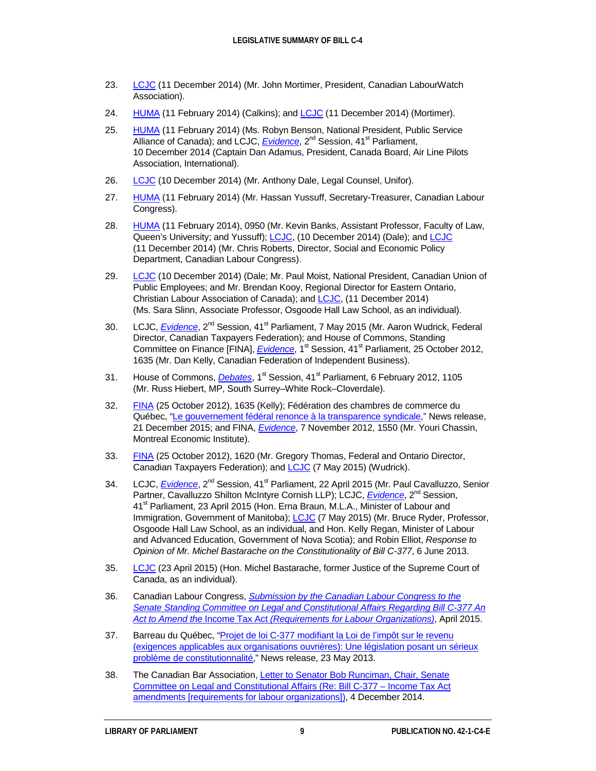- 23. [LCJC](http://www.parl.gc.ca/Content/SEN/Committee/412/lcjc/24ev-51841-e.htm?Language=E&Parl=41&Ses=2&comm_id=11) (11 December 2014) (Mr. John Mortimer, President, Canadian LabourWatch Association).
- 24. [HUMA](http://www.parl.gc.ca/HousePublications/Publication.aspx?Mode=1&Parl=41&Ses=2&DocId=6421228&Language=E) (11 February 2014) (Calkins); an[d LCJC](http://www.parl.gc.ca/Content/SEN/Committee/412/lcjc/24ev-51841-e.htm?Language=E&Parl=41&Ses=2&comm_id=11) (11 December 2014) (Mortimer).
- 25. [HUMA](http://www.parl.gc.ca/HousePublications/Publication.aspx?Mode=1&Parl=41&Ses=2&DocId=6421228&Language=E) (11 February 2014) (Ms. Robyn Benson, National President, Public Service Alliance of Canada); and LCJC, *[Evidence](http://www.parl.gc.ca/Content/SEN/Committee/412/lcjc/24ev-51833-e.htm?Language=E&Parl=41&Ses=2&comm_id=11)*, 2<sup>nd</sup> Session, 41<sup>st</sup> Parliament, 10 December 2014 (Captain Dan Adamus, President, Canada Board, Air Line Pilots Association, International).
- 26. [LCJC](http://www.parl.gc.ca/Content/SEN/Committee/412/lcjc/24ev-51833-e.htm?Language=E&Parl=41&Ses=2&comm_id=11) (10 December 2014) (Mr. Anthony Dale, Legal Counsel, Unifor).
- 27. [HUMA](http://www.parl.gc.ca/HousePublications/Publication.aspx?Mode=1&Parl=41&Ses=2&DocId=6421228&Language=E) (11 February 2014) (Mr. Hassan Yussuff, Secretary-Treasurer, Canadian Labour Congress).
- <span id="page-12-0"></span>28. [HUMA](http://www.parl.gc.ca/HousePublications/Publication.aspx?Mode=1&Parl=41&Ses=2&DocId=6421228&Language=E) (11 February 2014), 0950 (Mr. Kevin Banks, Assistant Professor, Faculty of Law, Queen's University; and Yussuff); [LCJC,](http://www.parl.gc.ca/Content/SEN/Committee/412/lcjc/24ev-51833-e.htm?Language=E&Parl=41&Ses=2&comm_id=11) (10 December 2014) (Dale); an[d LCJC](http://www.parl.gc.ca/Content/SEN/Committee/412/lcjc/24ev-51841-e.htm?Language=E&Parl=41&Ses=2&comm_id=11) (11 December 2014) (Mr. Chris Roberts, Director, Social and Economic Policy Department, Canadian Labour Congress).
- <span id="page-12-1"></span>29. [LCJC](http://www.parl.gc.ca/Content/SEN/Committee/412/lcjc/24ev-51833-e.htm?Language=E&Parl=41&Ses=2&comm_id=11) (10 December 2014) (Dale; Mr. Paul Moist, National President, Canadian Union of Public Employees; and Mr. Brendan Kooy, Regional Director for Eastern Ontario, Christian Labour Association of Canada); an[d LCJC,](http://www.parl.gc.ca/Content/SEN/Committee/412/lcjc/24ev-51841-e.htm?Language=E&Parl=41&Ses=2&comm_id=11) (11 December 2014) (Ms. Sara Slinn, Associate Professor, Osgoode Hall Law School, as an individual).
- <span id="page-12-2"></span>30. LCJC, *[Evidence](http://www.parl.gc.ca/Content/SEN/Committee/412/lcjc/30ev-52115-e.htm?Language=F&Parl=41&Ses=2&comm_id=11)*, 2<sup>nd</sup> Session, 41<sup>st</sup> Parliament, 7 May 2015 (Mr. Aaron Wudrick, Federal Director, Canadian Taxpayers Federation); and House of Commons, Standing Committee on Finance [FINA], *[Evidence](http://www.parl.gc.ca/HousePublications/Publication.aspx?Mode=1&Parl=41&Ses=1&DocId=5791241&Language=E)*, 1<sup>st</sup> Session, 41<sup>st</sup> Parliament, 25 October 2012, 1635 (Mr. Dan Kelly, Canadian Federation of Independent Business).
- <span id="page-12-3"></span>31. House of Commons, *[Debates](http://www.parl.gc.ca/HousePublications/Publication.aspx?Pub=Hansard&Doc=74&Parl=41&Ses=1&Language=E&Mode=1%20-%206511871)*, 1<sup>st</sup> Session, 41<sup>st</sup> Parliament, 6 February 2012, 1105 (Mr. Russ Hiebert, MP, South Surrey–White Rock–Cloverdale).
- 32. [FINA](http://www.parl.gc.ca/HousePublications/Publication.aspx?Mode=1&Parl=41&Ses=1&DocId=5791241&Language=E) (25 October 2012), 1635 (Kelly); Fédération des chambres de commerce du Québec, "Le [gouvernement fédéral renonce à la transparence syndicale,"](http://www.fccq.ca/salle-de-presse-communiques-2015_Le-gouvernement-federal-renonce-a-la-transparence-syndicale.php) News release, 21 December 2015; and FINA, *[Evidence](http://www.parl.gc.ca/HousePublications/Publication.aspx?Mode=1&Parl=41&Ses=1&DocId=5832389&Language=E)*, 7 November 2012, 1550 (Mr. Youri Chassin, Montreal Economic Institute).
- 33. [FINA](http://www.parl.gc.ca/HousePublications/Publication.aspx?Mode=1&Parl=41&Ses=1&DocId=5791241&Language=E) (25 October 2012), 1620 (Mr. Gregory Thomas, Federal and Ontario Director, Canadian Taxpayers Federation); and [LCJC](http://www.parl.gc.ca/Content/SEN/Committee/412/lcjc/30ev-52115-e.htm?Language=F&Parl=41&Ses=2&comm_id=11) (7 May 2015) (Wudrick).
- <span id="page-12-5"></span><span id="page-12-4"></span>34. LCJC, *[Evidence](http://www.parl.gc.ca/Content/SEN/Committee/412/lcjc/29ev-52055-e.htm?Language=E&Parl=41&Ses=2&comm_id=11)*, 2<sup>nd</sup> Session, 41<sup>st</sup> Parliament, 22 April 2015 (Mr. Paul Cavalluzzo, Senior Partner, Cavalluzzo Shilton McIntyre Cornish LLP); LCJC, *[Evidence](http://www.parl.gc.ca/Content/SEN/Committee/412/lcjc/29ev-52065-e.htm?Language=E&Parl=41&Ses=2&comm_id=11)*, 2<sup>nd</sup> Session, 41<sup>st</sup> Parliament, 23 April 2015 (Hon. Erna Braun, M.L.A., Minister of Labour and Immigration, Government of Manitoba); [LCJC](http://www.parl.gc.ca/Content/SEN/Committee/412/lcjc/30ev-52115-e.htm?Language=F&Parl=41&Ses=2&comm_id=11) (7 May 2015) (Mr. Bruce Ryder, Professor, Osgoode Hall Law School, as an individual, and Hon. Kelly Regan, Minister of Labour and Advanced Education, Government of Nova Scotia); and Robin Elliot, *Response to Opinion of Mr. Michel Bastarache on the Constitutionality of Bill C-377*, 6 June 2013.
- 35. [LCJC](http://www.parl.gc.ca/Content/SEN/Committee/412/lcjc/29ev-52065-e.htm?Language=E&Parl=41&Ses=2&comm_id=11) (23 April 2015) (Hon. Michel Bastarache, former Justice of the Supreme Court of Canada, as an individual).
- 36. Canadian Labour Congress, *[Submission by the Canadian Labour Congress to the](http://canadianlabour.ca/sites/default/files/media/billc377-briefsubmission-2015-04-18-en.pdf)  [Senate Standing Committee on Legal and Constitutional Affairs Regarding Bill](http://canadianlabour.ca/sites/default/files/media/billc377-briefsubmission-2015-04-18-en.pdf) C-377 An Act to Amend the* Income Tax Act *[\(Requirements for Labour Organizations\)](http://canadianlabour.ca/sites/default/files/media/billc377-briefsubmission-2015-04-18-en.pdf)*, April 2015.
- 37. Barreau du Québec, "Projet de loi C-377 modifiant la Loi de l'impôt sur le revenu [\(exigences applicables aux organisations ouvrières\): Une législation posant un sérieux](http://www.barreau.qc.ca/fr/actualites-medias/communiques/2013/05/23-plc377)  [problème de constitutionnalité,"](http://www.barreau.qc.ca/fr/actualites-medias/communiques/2013/05/23-plc377) News release, 23 May 2013.
- 38. The Canadian Bar Association, Letter to Senator Bob Runciman, Chair, Senate [Committee on Legal and Constitutional Affairs \(Re: Bill](https://www.cba.org/CMSPages/GetFile.aspx?guid=0a43dde4-9659-47ed-b92b-e811d82485e3) C-377 – Income Tax Act [amendments \[requirements for labour organizations\]\),](https://www.cba.org/CMSPages/GetFile.aspx?guid=0a43dde4-9659-47ed-b92b-e811d82485e3) 4 December 2014.